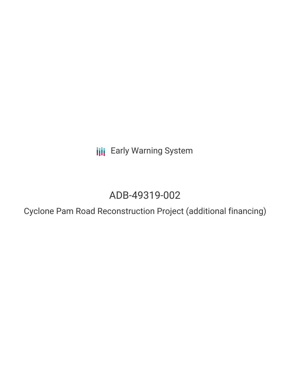**III** Early Warning System

# ADB-49319-002

Cyclone Pam Road Reconstruction Project (additional financing)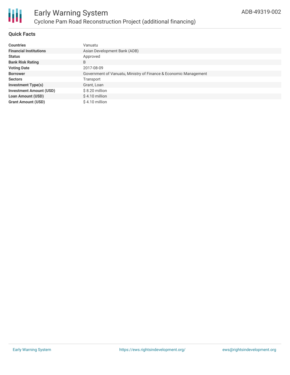

## **Quick Facts**

| <b>Countries</b>               | Vanuatu                                                          |
|--------------------------------|------------------------------------------------------------------|
| <b>Financial Institutions</b>  | Asian Development Bank (ADB)                                     |
| <b>Status</b>                  | Approved                                                         |
| <b>Bank Risk Rating</b>        | B                                                                |
| <b>Voting Date</b>             | 2017-08-09                                                       |
| <b>Borrower</b>                | Government of Vanuatu, Ministry of Finance & Economic Management |
| <b>Sectors</b>                 | Transport                                                        |
| <b>Investment Type(s)</b>      | Grant, Loan                                                      |
| <b>Investment Amount (USD)</b> | $$8.20$ million                                                  |
| <b>Loan Amount (USD)</b>       | $$4.10$ million                                                  |
| <b>Grant Amount (USD)</b>      | \$4.10 million                                                   |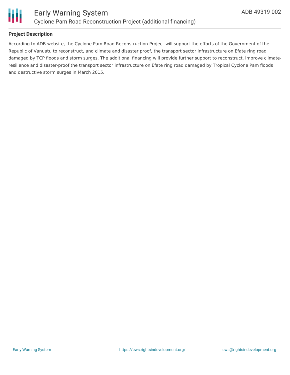

# **Project Description**

According to ADB website, the Cyclone Pam Road Reconstruction Project will support the efforts of the Government of the Republic of Vanuatu to reconstruct, and climate and disaster proof, the transport sector infrastructure on Efate ring road damaged by TCP floods and storm surges. The additional financing will provide further support to reconstruct, improve climateresilience and disaster-proof the transport sector infrastructure on Efate ring road damaged by Tropical Cyclone Pam floods and destructive storm surges in March 2015.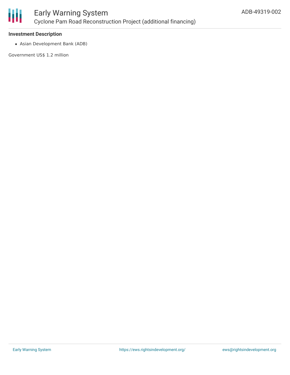

## **Investment Description**

Asian Development Bank (ADB)

Government US\$ 1.2 million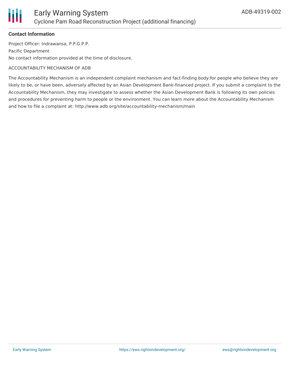

#### **Contact Information**

Project Officer: Indrawansa, P.P.G.P.P. Pacific Department No contact information provided at the time of disclosure.

#### ACCOUNTABILITY MECHANISM OF ADB

The Accountability Mechanism is an independent complaint mechanism and fact-finding body for people who believe they are likely to be, or have been, adversely affected by an Asian Development Bank-financed project. If you submit a complaint to the Accountability Mechanism, they may investigate to assess whether the Asian Development Bank is following its own policies and procedures for preventing harm to people or the environment. You can learn more about the Accountability Mechanism and how to file a complaint at: http://www.adb.org/site/accountability-mechanism/main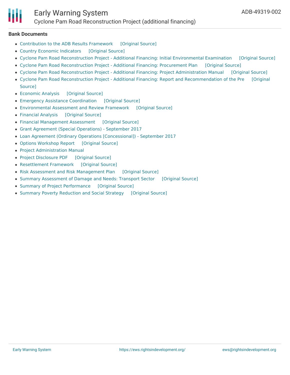#### **Bank Documents**

- [Contribution](https://ewsdata.rightsindevelopment.org/files/documents/02/ADB-49319-002_Yc4AoE2.pdf) to the ADB Results Framework [\[Original](https://www.adb.org/projects/documents/van-49319-002-rrp) Source]
- Country Economic [Indicators](https://ewsdata.rightsindevelopment.org/files/documents/02/ADB-49319-002_eb19Dq9.pdf) [\[Original](https://www.adb.org/projects/documents/van-49319-002-rrp) Source]
- Cyclone Pam Road [Reconstruction](https://ewsdata.rightsindevelopment.org/files/documents/02/ADB-49319-002_CXrCI2D.pdf) Project Additional Financing: Initial Environmental Examination [\[Original](https://www.adb.org/projects/documents/van-49319-002-iee) Source]
- Cyclone Pam Road [Reconstruction](https://ewsdata.rightsindevelopment.org/files/documents/02/ADB-49319-002_MW3hBOA.pdf) Project Additional Financing: Procurement Plan [\[Original](https://www.adb.org/projects/documents/van-49319-002-pp) Source]
- Cyclone Pam Road [Reconstruction](https://ewsdata.rightsindevelopment.org/files/documents/02/ADB-49319-002_Y1ahhW8.pdf) Project Additional Financing: Project Administration Manual [\[Original](https://www.adb.org/projects/documents/van-49319-002-pam) Source]
- Cyclone Pam Road Reconstruction Project Additional Financing: Report and [Recommendation](https://www.adb.org/projects/documents/van-49319-002-rrp) of the Pre [Original Source]
- [Economic](https://ewsdata.rightsindevelopment.org/files/documents/02/ADB-49319-002_AseDB8y.pdf) Analysis [\[Original](https://www.adb.org/projects/documents/van-49319-002-rrp) Source]
- Emergency Assistance [Coordination](https://ewsdata.rightsindevelopment.org/files/documents/02/ADB-49319-002_ktiWRTA.pdf) [\[Original](https://www.adb.org/projects/documents/van-49319-002-rrp) Source]
- [Environmental](https://ewsdata.rightsindevelopment.org/files/documents/02/ADB-49319-002_BuCcICx.pdf) Assessment and Review Framework [\[Original](https://www.adb.org/projects/documents/van-49319-002-rrp) Source]
- [Financial](https://ewsdata.rightsindevelopment.org/files/documents/02/ADB-49319-002_T1KPxyQ.pdf) Analysis [\[Original](https://www.adb.org/projects/documents/van-49319-002-rrp) Source]
- Financial [Management](https://ewsdata.rightsindevelopment.org/files/documents/02/ADB-49319-002_f6O8I3C.pdf) Assessment [\[Original](https://www.adb.org/projects/documents/van-49319-002-rrp) Source]
- Grant Agreement (Special [Operations\)](https://www.adb.org/sites/default/files/project-documents/49319/49319-002-grj-en.pdf) September 2017
- Loan Agreement (Ordinary Operations [\[Concessional\]\)](https://www.adb.org/sites/default/files/project-documents/49319/49319-002-lna-en.pdf) September 2017
- Options [Workshop](https://ewsdata.rightsindevelopment.org/files/documents/02/ADB-49319-002_nioLjSe.pdf) Report [\[Original](https://www.adb.org/projects/documents/van-49319-002-rrp) Source]
- Project [Administration](https://www.adb.org/projects/documents/van-49319-002-rrp) Manual
- Project [Disclosure](https://ewsdata.rightsindevelopment.org/files/documents/02/ADB-49319-002.pdf) PDF [\[Original](https://www.adb.org/printpdf/projects/49319-002/main) Source]
- [Resettlement](https://ewsdata.rightsindevelopment.org/files/documents/02/ADB-49319-002_dwA3iVn.pdf) Framework [\[Original](https://www.adb.org/projects/documents/van-49319-002-rrp) Source]
- Risk Assessment and Risk [Management](https://ewsdata.rightsindevelopment.org/files/documents/02/ADB-49319-002_2AuKEEQ.pdf) Plan [\[Original](https://www.adb.org/projects/documents/van-49319-002-rrp) Source]
- Summary [Assessment](https://ewsdata.rightsindevelopment.org/files/documents/02/ADB-49319-002_Q8WDqt5.pdf) of Damage and Needs: Transport Sector [\[Original](https://www.adb.org/projects/documents/van-49319-002-rrp) Source]
- Summary of Project [Performance](https://ewsdata.rightsindevelopment.org/files/documents/02/ADB-49319-002_8iMVmcs.pdf) [\[Original](https://www.adb.org/projects/documents/van-49319-002-rrp) Source]
- Summary Poverty [Reduction](https://ewsdata.rightsindevelopment.org/files/documents/02/ADB-49319-002_gm1TAyj.pdf) and Social Strategy [\[Original](https://www.adb.org/projects/documents/van-49319-002-rrp) Source]